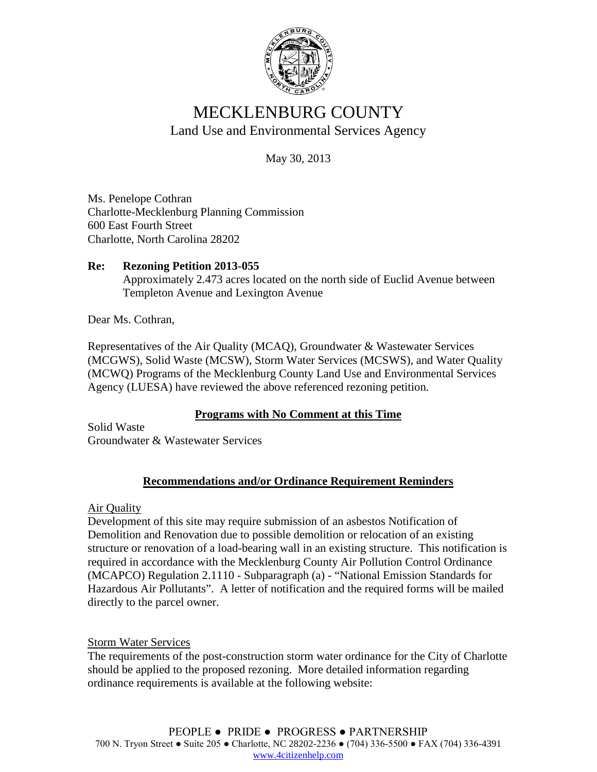

# MECKLENBURG COUNTY Land Use and Environmental Services Agency

May 30, 2013

Ms. Penelope Cothran Charlotte-Mecklenburg Planning Commission 600 East Fourth Street Charlotte, North Carolina 28202

### **Re: Rezoning Petition 2013-055** Approximately 2.473 acres located on the north side of Euclid Avenue between Templeton Avenue and Lexington Avenue

Dear Ms. Cothran,

Representatives of the Air Quality (MCAQ), Groundwater & Wastewater Services (MCGWS), Solid Waste (MCSW), Storm Water Services (MCSWS), and Water Quality (MCWQ) Programs of the Mecklenburg County Land Use and Environmental Services Agency (LUESA) have reviewed the above referenced rezoning petition.

## **Programs with No Comment at this Time**

Solid Waste Groundwater & Wastewater Services

# **Recommendations and/or Ordinance Requirement Reminders**

Air Quality

Development of this site may require submission of an asbestos Notification of Demolition and Renovation due to possible demolition or relocation of an existing structure or renovation of a load-bearing wall in an existing structure. This notification is required in accordance with the Mecklenburg County Air Pollution Control Ordinance (MCAPCO) Regulation 2.1110 - Subparagraph (a) - "National Emission Standards for Hazardous Air Pollutants". A letter of notification and the required forms will be mailed directly to the parcel owner.

## Storm Water Services

The requirements of the post-construction storm water ordinance for the City of Charlotte should be applied to the proposed rezoning. More detailed information regarding ordinance requirements is available at the following website: